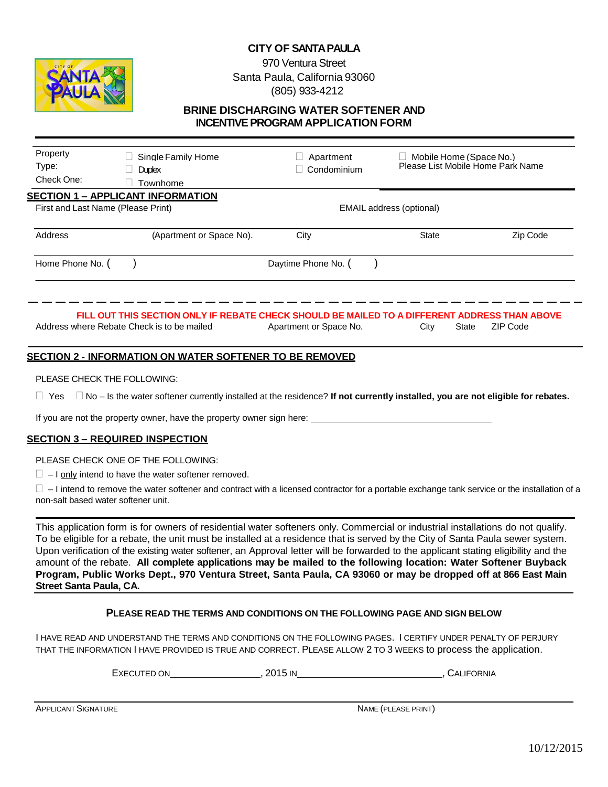

## 970 Ventura Street Santa Paula, California 93060 (805) 933-4212

### **BRINE DISCHARGING WATER SOFTENER AND INCENTIVE PROGRAM APPLICATION FORM**

| Property<br>Type:<br>Check One: | Single Family Home<br><b>Duplex</b><br>Townhome                                                                                             | Apartment<br>Condominium | $\Box$ Mobile Home (Space No.)<br>Please List Mobile Home Park Name |          |
|---------------------------------|---------------------------------------------------------------------------------------------------------------------------------------------|--------------------------|---------------------------------------------------------------------|----------|
|                                 | <u> SECTION 1 – APPLICANT INFORMATION</u><br>First and Last Name (Please Print)                                                             |                          | EMAIL address (optional)                                            |          |
| Address                         | (Apartment or Space No).                                                                                                                    | City                     | <b>State</b>                                                        | Zip Code |
| Home Phone No. (                |                                                                                                                                             | Daytime Phone No. (      |                                                                     |          |
|                                 | FILL OUT THIS SECTION ONLY IF REBATE CHECK SHOULD BE MAILED TO A DIFFERENT ADDRESS THAN ABOVE<br>Address where Rebate Check is to be mailed | Apartment or Space No.   | State<br>City                                                       | ZIP Code |

### **SECTION 2 - INFORMATION ON WATER SOFTENER TO BE REMOVED**

#### PLEASE CHECK THE FOLLOWING:

Yes No – Is the water softener currently installed at the residence? **If not currently installed, you are not eligible for rebates.**

If you are not the property owner, have the property owner sign here:

### **SECTION 3 – REQUIRED INSPECTION**

PLEASE CHECK ONE OF THE FOLLOWING:

 $\Box$  – I only intend to have the water softener removed.

 $\square$  – I intend to remove the water softener and contract with a licensed contractor for a portable exchange tank service or the installation of a non-salt based water softener unit.

This application form is for owners of residential water softeners only. Commercial or industrial installations do not qualify. To be eligible for a rebate, the unit must be installed at a residence that is served by the City of Santa Paula sewer system. Upon verification of the existing water softener, an Approval letter will be forwarded to the applicant stating eligibility and the amount of the rebate. **All complete applications may be mailed to the following location: Water Softener Buyback Program, Public Works Dept., 970 Ventura Street, Santa Paula, CA 93060 or may be dropped off at 866 East Main Street Santa Paula, CA.**

### **PLEASE READ THE TERMS AND CONDITIONS ON THE FOLLOWING PAGE AND SIGN BELOW**

I HAVE READ AND UNDERSTAND THE TERMS AND CONDITIONS ON THE FOLLOWING PAGES. I CERTIFY UNDER PENALTY OF PERJURY THAT THE INFORMATION I HAVE PROVIDED IS TRUE AND CORRECT. PLEASE ALLOW 2 TO 3 WEEKS to process the application.

EXECUTED ON GENERAL BRACK CONSUMING THE RECUTED ON A SALE ON A SALE OR AN ALL PORT ON A SALE OF SALE OR NIA AN

APPLICANT SIGNATURE **NAME (PLEASE PRINT)**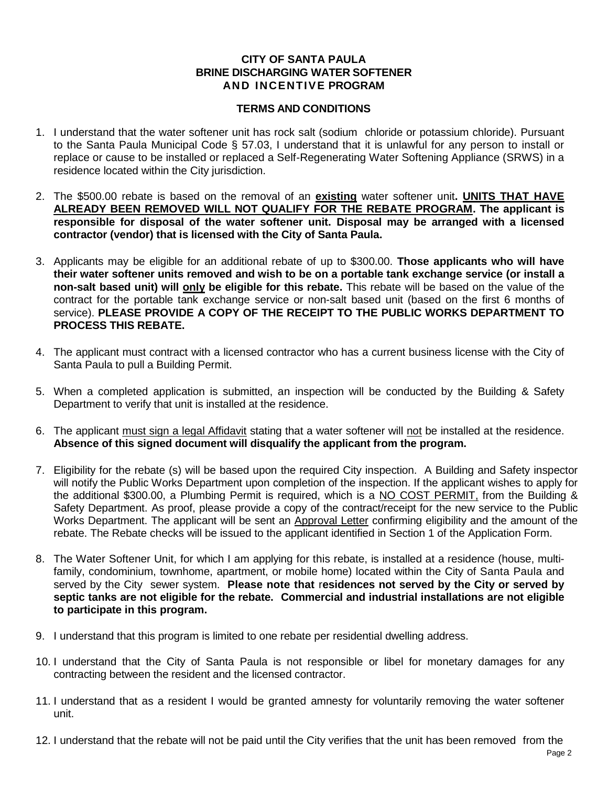## **CITY OF SANTA PAULA BRINE DISCHARGING WATER SOFTENER AND INCENTIVE PROGRAM**

## **TERMS AND CONDITIONS**

- 1. I understand that the water softener unit has rock salt (sodium chloride or potassium chloride). Pursuant to the Santa Paula Municipal Code § 57.03, I understand that it is unlawful for any person to install or replace or cause to be installed or replaced a Self-Regenerating Water Softening Appliance (SRWS) in a residence located within the City jurisdiction.
- 2. The \$500.00 rebate is based on the removal of an **existing** water softener unit**. UNITS THAT HAVE ALREADY BEEN REMOVED WILL NOT QUALIFY FOR THE REBATE PROGRAM. The applicant is responsible for disposal of the water softener unit. Disposal may be arranged with a licensed contractor (vendor) that is licensed with the City of Santa Paula.**
- 3. Applicants may be eligible for an additional rebate of up to \$300.00. **Those applicants who will have their water softener units removed and wish to be on a portable tank exchange service (or install a non-salt based unit) will only be eligible for this rebate.** This rebate will be based on the value of the contract for the portable tank exchange service or non-salt based unit (based on the first 6 months of service). **PLEASE PROVIDE A COPY OF THE RECEIPT TO THE PUBLIC WORKS DEPARTMENT TO PROCESS THIS REBATE.**
- 4. The applicant must contract with a licensed contractor who has a current business license with the City of Santa Paula to pull a Building Permit.
- 5. When a completed application is submitted, an inspection will be conducted by the Building & Safety Department to verify that unit is installed at the residence.
- 6. The applicant must sign a legal Affidavit stating that a water softener will not be installed at the residence. **Absence of this signed document will disqualify the applicant from the program.**
- 7. Eligibility for the rebate (s) will be based upon the required City inspection. A Building and Safety inspector will notify the Public Works Department upon completion of the inspection. If the applicant wishes to apply for the additional \$300.00, a Plumbing Permit is required, which is a NO COST PERMIT, from the Building & Safety Department. As proof, please provide a copy of the contract/receipt for the new service to the Public Works Department. The applicant will be sent an Approval Letter confirming eligibility and the amount of the rebate. The Rebate checks will be issued to the applicant identified in Section 1 of the Application Form.
- 8. The Water Softener Unit, for which I am applying for this rebate, is installed at a residence (house, multifamily, condominium, townhome, apartment, or mobile home) located within the City of Santa Paula and served by the City sewer system. **Please note that** r**esidences not served by the City or served by septic tanks are not eligible for the rebate. Commercial and industrial installations are not eligible to participate in this program.**
- 9. I understand that this program is limited to one rebate per residential dwelling address.
- 10. I understand that the City of Santa Paula is not responsible or libel for monetary damages for any contracting between the resident and the licensed contractor.
- 11. I understand that as a resident I would be granted amnesty for voluntarily removing the water softener unit.
- 12. I understand that the rebate will not be paid until the City verifies that the unit has been removed from the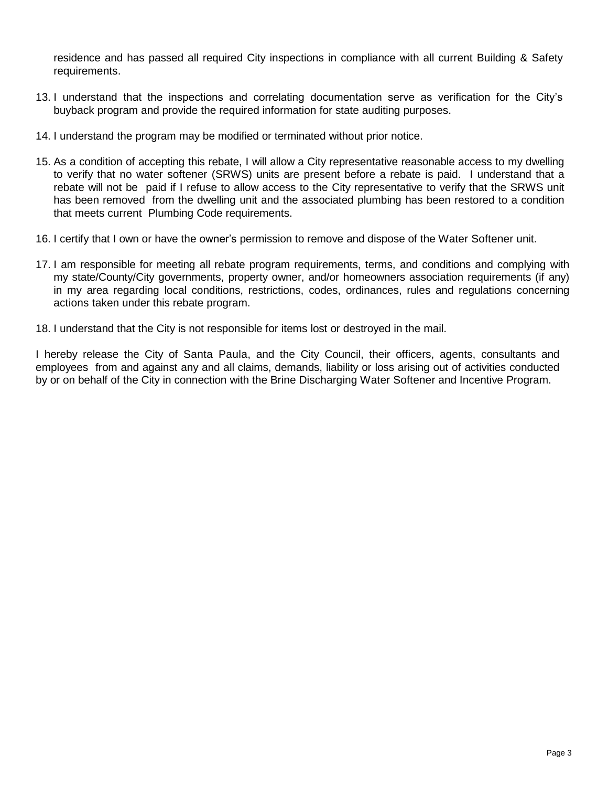residence and has passed all required City inspections in compliance with all current Building & Safety requirements.

- 13. I understand that the inspections and correlating documentation serve as verification for the City's buyback program and provide the required information for state auditing purposes.
- 14. I understand the program may be modified or terminated without prior notice.
- 15. As a condition of accepting this rebate, I will allow a City representative reasonable access to my dwelling to verify that no water softener (SRWS) units are present before a rebate is paid. I understand that a rebate will not be paid if I refuse to allow access to the City representative to verify that the SRWS unit has been removed from the dwelling unit and the associated plumbing has been restored to a condition that meets current Plumbing Code requirements.
- 16. I certify that I own or have the owner's permission to remove and dispose of the Water Softener unit.
- 17. I am responsible for meeting all rebate program requirements, terms, and conditions and complying with my state/County/City governments, property owner, and/or homeowners association requirements (if any) in my area regarding local conditions, restrictions, codes, ordinances, rules and regulations concerning actions taken under this rebate program.
- 18. I understand that the City is not responsible for items lost or destroyed in the mail.

I hereby release the City of Santa Paula, and the City Council, their officers, agents, consultants and employees from and against any and all claims, demands, liability or loss arising out of activities conducted by or on behalf of the City in connection with the Brine Discharging Water Softener and Incentive Program.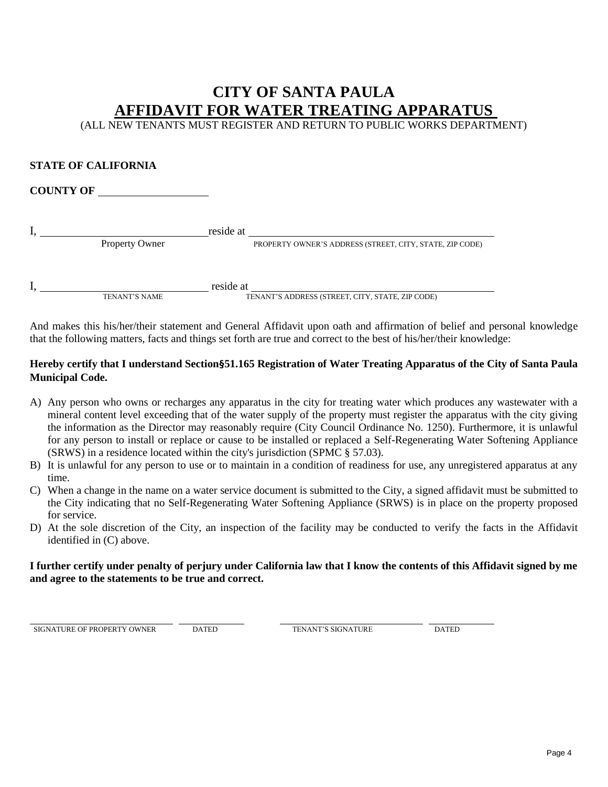# **CITY OF SANTA PAULA AFFIDAVIT FOR WATER TREATING APPARATUS**

(ALL NEW TENANTS MUST REGISTER AND RETURN TO PUBLIC WORKS DEPARTMENT)

## **STATE OF CALIFORNIA**

## **COUNTY OF**

| reside at             |                                                          |
|-----------------------|----------------------------------------------------------|
| <b>Property Owner</b> | PROPERTY OWNER'S ADDRESS (STREET, CITY, STATE, ZIP CODE) |
|                       |                                                          |

I, TENANT'S NAME reside at TENANT'S NAME

TENANT'S ADDRESS (STREET, CITY, STATE, ZIP CODE)

And makes this his/her/their statement and General Affidavit upon oath and affirmation of belief and personal knowledge that the following matters, facts and things set forth are true and correct to the best of his/her/their knowledge:

## **Hereby certify that I understand Section§51.165 Registration of Water Treating Apparatus of the City of Santa Paula Municipal Code.**

- A) Any person who owns or recharges any apparatus in the city for treating water which produces any wastewater with a mineral content level exceeding that of the water supply of the property must register the apparatus with the city giving the information as the Director may reasonably require (City Council Ordinance No. 1250). Furthermore, it is unlawful for any person to install or replace or cause to be installed or replaced a Self-Regenerating Water Softening Appliance (SRWS) in a residence located within the city's jurisdiction (SPMC § 57.03).
- B) It is unlawful for any person to use or to maintain in a condition of readiness for use, any unregistered apparatus at any time.
- C) When a change in the name on a water service document is submitted to the City, a signed affidavit must be submitted to the City indicating that no Self-Regenerating Water Softening Appliance (SRWS) is in place on the property proposed for service.
- D) At the sole discretion of the City, an inspection of the facility may be conducted to verify the facts in the Affidavit identified in (C) above.

## **I further certify under penalty of perjury under California law that I know the contents of this Affidavit signed by me and agree to the statements to be true and correct.**

**SIGNATURE OF PROPERTY OWNER** DATED **DATED TENANT'S SIGNATURE DATED** 

l,